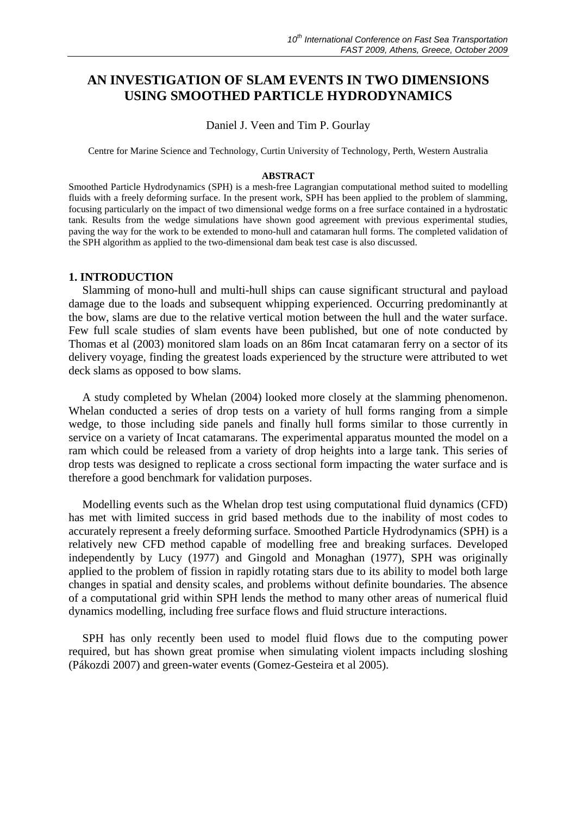# **AN INVESTIGATION OF SLAM EVENTS IN TWO DIMENSIONS USING SMOOTHED PARTICLE HYDRODYNAMICS**

Daniel J. Veen and Tim P. Gourlay

Centre for Marine Science and Technology, Curtin University of Technology, Perth, Western Australia

#### **ABSTRACT**

Smoothed Particle Hydrodynamics (SPH) is a mesh-free Lagrangian computational method suited to modelling fluids with a freely deforming surface. In the present work, SPH has been applied to the problem of slamming, focusing particularly on the impact of two dimensional wedge forms on a free surface contained in a hydrostatic tank. Results from the wedge simulations have shown good agreement with previous experimental studies, paving the way for the work to be extended to mono-hull and catamaran hull forms. The completed validation of the SPH algorithm as applied to the two-dimensional dam beak test case is also discussed.

## **1. INTRODUCTION**

Slamming of mono-hull and multi-hull ships can cause significant structural and payload damage due to the loads and subsequent whipping experienced. Occurring predominantly at the bow, slams are due to the relative vertical motion between the hull and the water surface. Few full scale studies of slam events have been published, but one of note conducted by Thomas et al (2003) monitored slam loads on an 86m Incat catamaran ferry on a sector of its delivery voyage, finding the greatest loads experienced by the structure were attributed to wet deck slams as opposed to bow slams.

A study completed by Whelan (2004) looked more closely at the slamming phenomenon. Whelan conducted a series of drop tests on a variety of hull forms ranging from a simple wedge, to those including side panels and finally hull forms similar to those currently in service on a variety of Incat catamarans. The experimental apparatus mounted the model on a ram which could be released from a variety of drop heights into a large tank. This series of drop tests was designed to replicate a cross sectional form impacting the water surface and is therefore a good benchmark for validation purposes.

Modelling events such as the Whelan drop test using computational fluid dynamics (CFD) has met with limited success in grid based methods due to the inability of most codes to accurately represent a freely deforming surface. Smoothed Particle Hydrodynamics (SPH) is a relatively new CFD method capable of modelling free and breaking surfaces. Developed independently by Lucy (1977) and Gingold and Monaghan (1977), SPH was originally applied to the problem of fission in rapidly rotating stars due to its ability to model both large changes in spatial and density scales, and problems without definite boundaries. The absence of a computational grid within SPH lends the method to many other areas of numerical fluid dynamics modelling, including free surface flows and fluid structure interactions.

SPH has only recently been used to model fluid flows due to the computing power required, but has shown great promise when simulating violent impacts including sloshing (Pákozdi 2007) and green-water events (Gomez-Gesteira et al 2005).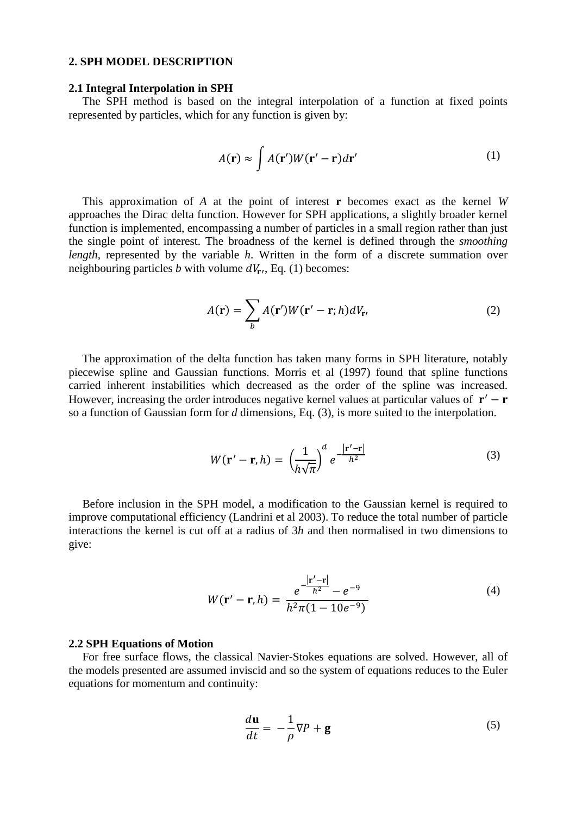# **2. SPH MODEL DESCRIPTION**

#### **2.1 Integral Interpolation in SPH**

The SPH method is based on the integral interpolation of a function at fixed points represented by particles, which for any function is given by:

$$
A(\mathbf{r}) \approx \int A(\mathbf{r}')W(\mathbf{r}' - \mathbf{r})d\mathbf{r}' \tag{1}
$$

This approximation of *A* at the point of interest **r** becomes exact as the kernel *W*  approaches the Dirac delta function. However for SPH applications, a slightly broader kernel function is implemented, encompassing a number of particles in a small region rather than just the single point of interest. The broadness of the kernel is defined through the *smoothing length*, represented by the variable *h*. Written in the form of a discrete summation over neighbouring particles  $b$  with volume  $dV_{\mathbf{r}}$ , Eq. (1) becomes:

$$
A(\mathbf{r}) = \sum_{b} A(\mathbf{r}')W(\mathbf{r}' - \mathbf{r}; h)dV_{\mathbf{r}'}
$$
 (2)

The approximation of the delta function has taken many forms in SPH literature, notably piecewise spline and Gaussian functions. Morris et al (1997) found that spline functions carried inherent instabilities which decreased as the order of the spline was increased. However, increasing the order introduces negative kernel values at particular values of  $r' - r$ so a function of Gaussian form for *d* dimensions, Eq. (3), is more suited to the interpolation.

$$
W(\mathbf{r}' - \mathbf{r}, h) = \left(\frac{1}{h\sqrt{\pi}}\right)^d e^{-\frac{|\mathbf{r}' - \mathbf{r}|}{h^2}}
$$
(3)

Before inclusion in the SPH model, a modification to the Gaussian kernel is required to improve computational efficiency (Landrini et al 2003). To reduce the total number of particle interactions the kernel is cut off at a radius of 3*h* and then normalised in two dimensions to give:

$$
W(\mathbf{r}' - \mathbf{r}, h) = \frac{e^{-\frac{|\mathbf{r}' - \mathbf{r}|}{h^2}} - e^{-9}}{h^2 \pi (1 - 10e^{-9})}
$$
(4)

#### **2.2 SPH Equations of Motion**

For free surface flows, the classical Navier-Stokes equations are solved. However, all of the models presented are assumed inviscid and so the system of equations reduces to the Euler equations for momentum and continuity:

$$
\frac{d\mathbf{u}}{dt} = -\frac{1}{\rho}\nabla P + \mathbf{g}
$$
 (5)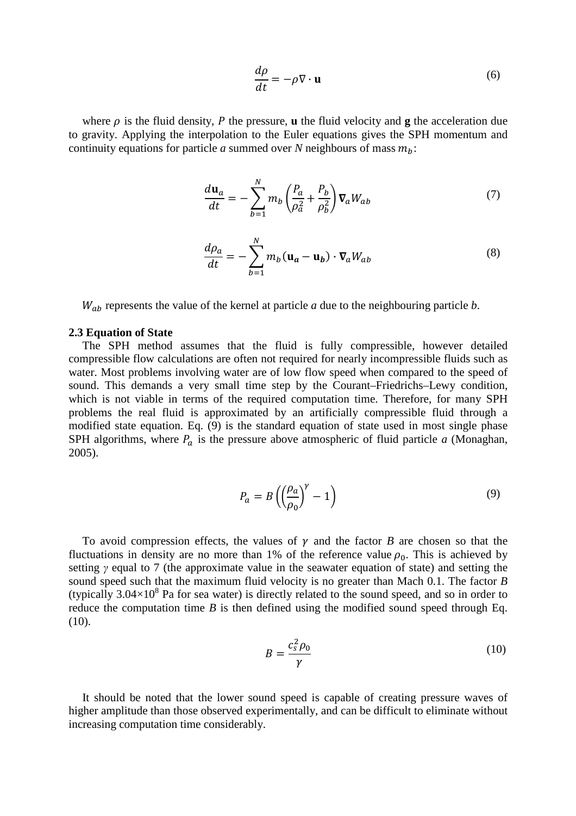$$
\frac{d\rho}{dt} = -\rho \nabla \cdot \mathbf{u}
$$
 (6)

where  $\rho$  is the fluid density,  $P$  the pressure, **u** the fluid velocity and **g** the acceleration due to gravity. Applying the interpolation to the Euler equations gives the SPH momentum and continuity equations for particle *a* summed over *N* neighbours of mass  $m_h$ .

$$
\frac{d\mathbf{u}_a}{dt} = -\sum_{b=1}^N m_b \left(\frac{P_a}{\rho_a^2} + \frac{P_b}{\rho_b^2}\right) \nabla_a W_{ab} \tag{7}
$$

$$
\frac{d\rho_a}{dt} = -\sum_{b=1}^N m_b (\mathbf{u}_a - \mathbf{u}_b) \cdot \nabla_a W_{ab}
$$
 (8)

 $W_{ab}$  represents the value of the kernel at particle  $a$  due to the neighbouring particle  $b$ .

#### **2.3 Equation of State**

The SPH method assumes that the fluid is fully compressible, however detailed compressible flow calculations are often not required for nearly incompressible fluids such as water. Most problems involving water are of low flow speed when compared to the speed of sound. This demands a very small time step by the Courant–Friedrichs–Lewy condition, which is not viable in terms of the required computation time. Therefore, for many SPH problems the real fluid is approximated by an artificially compressible fluid through a modified state equation. Eq. (9) is the standard equation of state used in most single phase SPH algorithms, where  $P_a$  is the pressure above atmospheric of fluid particle *a* (Monaghan, 2005).

$$
P_a = B\left(\left(\frac{\rho_a}{\rho_0}\right)^{\gamma} - 1\right) \tag{9}
$$

To avoid compression effects, the values of  $\gamma$  and the factor *B* are chosen so that the fluctuations in density are no more than 1% of the reference value  $\rho_0$ . This is achieved by setting  $\gamma$  equal to 7 (the approximate value in the seawater equation of state) and setting the sound speed such that the maximum fluid velocity is no greater than Mach 0.1. The factor *B* (typically  $3.04 \times 10^8$  Pa for sea water) is directly related to the sound speed, and so in order to reduce the computation time *B* is then defined using the modified sound speed through Eq.  $(10).$ 

$$
B = \frac{c_s^2 \rho_0}{\gamma} \tag{10}
$$

It should be noted that the lower sound speed is capable of creating pressure waves of higher amplitude than those observed experimentally, and can be difficult to eliminate without increasing computation time considerably.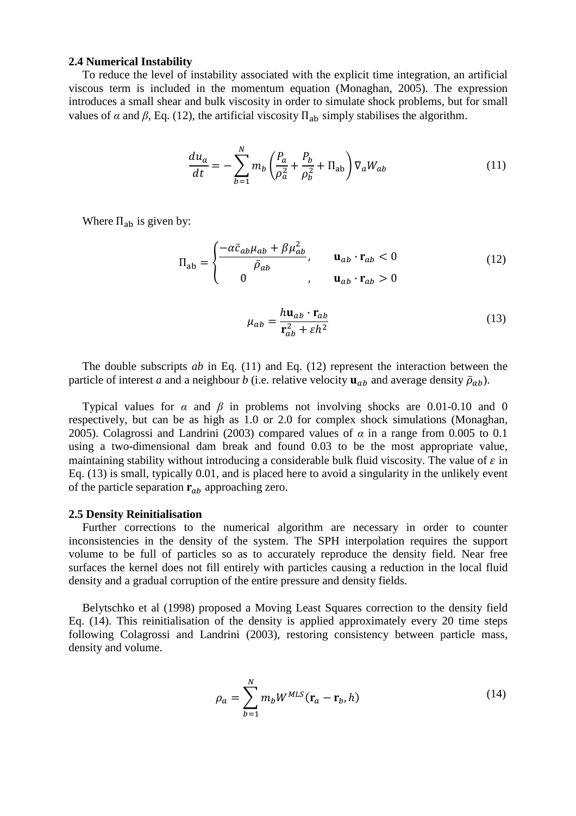#### **2.4 Numerical Instability**

To reduce the level of instability associated with the explicit time integration, an artificial viscous term is included in the momentum equation (Monaghan, 2005). The expression introduces a small shear and bulk viscosity in order to simulate shock problems, but for small values of  $\alpha$  and  $\beta$ , Eq. (12), the artificial viscosity  $\Pi_{ab}$  simply stabilises the algorithm.

$$
\frac{du_a}{dt} = -\sum_{b=1}^N m_b \left(\frac{P_a}{\rho_a^2} + \frac{P_b}{\rho_b^2} + \Pi_{ab}\right) \nabla_a W_{ab} \tag{11}
$$

Where  $\Pi_{ab}$  is given by:

$$
\Pi_{ab} = \begin{cases}\n-\alpha \bar{c}_{ab} \mu_{ab} + \beta \mu_{ab}^2, & \mathbf{u}_{ab} \cdot \mathbf{r}_{ab} < 0 \\
0 & , \mathbf{u}_{ab} \cdot \mathbf{r}_{ab} > 0\n\end{cases} \tag{12}
$$

$$
\mu_{ab} = \frac{h\mathbf{u}_{ab} \cdot \mathbf{r}_{ab}}{\mathbf{r}_{ab}^2 + \varepsilon h^2}
$$
(13)

The double subscripts *ab* in Eq. (11) and Eq. (12) represent the interaction between the particle of interest *a* and a neighbour *b* (i.e. relative velocity  $\mathbf{u}_{ab}$  and average density  $\bar{p}_{ab}$ ).

Typical values for  $\alpha$  and  $\beta$  in problems not involving shocks are 0.01-0.10 and 0 respectively, but can be as high as 1.0 or 2.0 for complex shock simulations (Monaghan, 2005). Colagrossi and Landrini (2003) compared values of  $\alpha$  in a range from 0.005 to 0.1 using a two-dimensional dam break and found 0.03 to be the most appropriate value, maintaining stability without introducing a considerable bulk fluid viscosity. The value of  $\varepsilon$  in Eq. (13) is small, typically 0.01, and is placed here to avoid a singularity in the unlikely event of the particle separation  $r_{ab}$  approaching zero.

## **2.5 Density Reinitialisation**

Further corrections to the numerical algorithm are necessary in order to counter inconsistencies in the density of the system. The SPH interpolation requires the support volume to be full of particles so as to accurately reproduce the density field. Near free surfaces the kernel does not fill entirely with particles causing a reduction in the local fluid density and a gradual corruption of the entire pressure and density fields.

Belytschko et al (1998) proposed a Moving Least Squares correction to the density field Eq. (14). This reinitialisation of the density is applied approximately every 20 time steps following Colagrossi and Landrini (2003), restoring consistency between particle mass, density and volume.

$$
\rho_a = \sum_{b=1}^{N} m_b W^{MLS} (\mathbf{r}_a - \mathbf{r}_b, h)
$$
\n(14)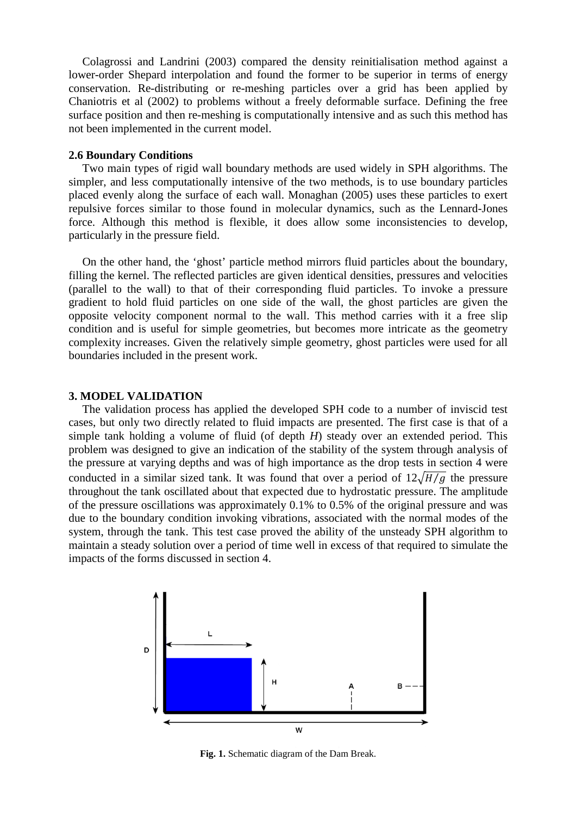Colagrossi and Landrini (2003) compared the density reinitialisation method against a lower-order Shepard interpolation and found the former to be superior in terms of energy conservation. Re-distributing or re-meshing particles over a grid has been applied by Chaniotris et al (2002) to problems without a freely deformable surface. Defining the free surface position and then re-meshing is computationally intensive and as such this method has not been implemented in the current model.

## **2.6 Boundary Conditions**

Two main types of rigid wall boundary methods are used widely in SPH algorithms. The simpler, and less computationally intensive of the two methods, is to use boundary particles placed evenly along the surface of each wall. Monaghan (2005) uses these particles to exert repulsive forces similar to those found in molecular dynamics, such as the Lennard-Jones force. Although this method is flexible, it does allow some inconsistencies to develop, particularly in the pressure field.

On the other hand, the 'ghost' particle method mirrors fluid particles about the boundary, filling the kernel. The reflected particles are given identical densities, pressures and velocities (parallel to the wall) to that of their corresponding fluid particles. To invoke a pressure gradient to hold fluid particles on one side of the wall, the ghost particles are given the opposite velocity component normal to the wall. This method carries with it a free slip condition and is useful for simple geometries, but becomes more intricate as the geometry complexity increases. Given the relatively simple geometry, ghost particles were used for all boundaries included in the present work.

#### **3. MODEL VALIDATION**

The validation process has applied the developed SPH code to a number of inviscid test cases, but only two directly related to fluid impacts are presented. The first case is that of a simple tank holding a volume of fluid (of depth *H*) steady over an extended period. This problem was designed to give an indication of the stability of the system through analysis of the pressure at varying depths and was of high importance as the drop tests in section 4 were conducted in a similar sized tank. It was found that over a period of  $12\sqrt{H/g}$  the pressure throughout the tank oscillated about that expected due to hydrostatic pressure. The amplitude of the pressure oscillations was approximately 0.1% to 0.5% of the original pressure and was due to the boundary condition invoking vibrations, associated with the normal modes of the system, through the tank. This test case proved the ability of the unsteady SPH algorithm to maintain a steady solution over a period of time well in excess of that required to simulate the impacts of the forms discussed in section 4.



**Fig. 1.** Schematic diagram of the Dam Break.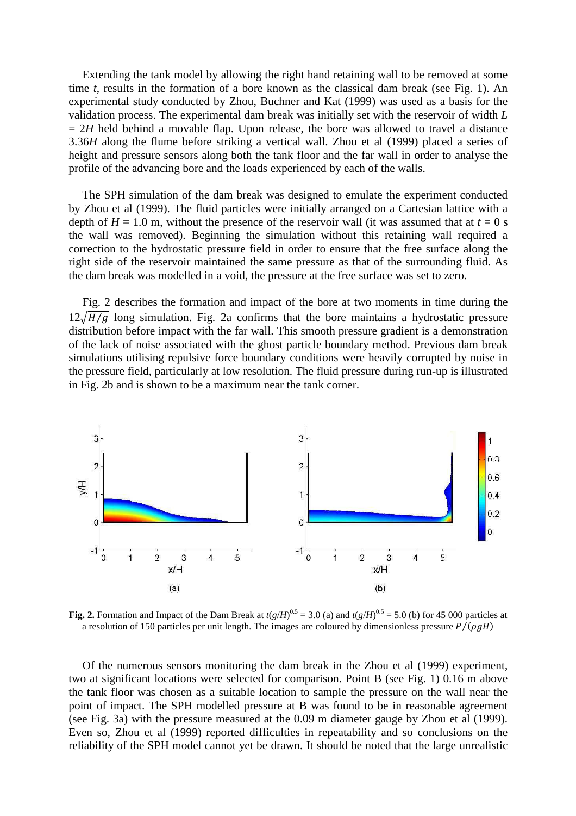Extending the tank model by allowing the right hand retaining wall to be removed at some time *t*, results in the formation of a bore known as the classical dam break (see Fig. 1). An experimental study conducted by Zhou, Buchner and Kat (1999) was used as a basis for the validation process. The experimental dam break was initially set with the reservoir of width *L*  $= 2H$  held behind a movable flap. Upon release, the bore was allowed to travel a distance 3.36*H* along the flume before striking a vertical wall. Zhou et al (1999) placed a series of height and pressure sensors along both the tank floor and the far wall in order to analyse the profile of the advancing bore and the loads experienced by each of the walls.

The SPH simulation of the dam break was designed to emulate the experiment conducted by Zhou et al (1999). The fluid particles were initially arranged on a Cartesian lattice with a depth of  $H = 1.0$  m, without the presence of the reservoir wall (it was assumed that at  $t = 0$  s the wall was removed). Beginning the simulation without this retaining wall required a correction to the hydrostatic pressure field in order to ensure that the free surface along the right side of the reservoir maintained the same pressure as that of the surrounding fluid. As the dam break was modelled in a void, the pressure at the free surface was set to zero.

Fig. 2 describes the formation and impact of the bore at two moments in time during the  $12\sqrt{H/g}$  long simulation. Fig. 2a confirms that the bore maintains a hydrostatic pressure distribution before impact with the far wall. This smooth pressure gradient is a demonstration of the lack of noise associated with the ghost particle boundary method. Previous dam break simulations utilising repulsive force boundary conditions were heavily corrupted by noise in the pressure field, particularly at low resolution. The fluid pressure during run-up is illustrated in Fig. 2b and is shown to be a maximum near the tank corner.



**Fig. 2.** Formation and Impact of the Dam Break at  $t(g/H)^{0.5} = 3.0$  (a) and  $t(g/H)^{0.5} = 5.0$  (b) for 45 000 particles at a resolution of 150 particles per unit length. The images are coloured by dimensionless pressure  $P/(\rho g H)$ 

Of the numerous sensors monitoring the dam break in the Zhou et al (1999) experiment, two at significant locations were selected for comparison. Point B (see Fig. 1) 0.16 m above the tank floor was chosen as a suitable location to sample the pressure on the wall near the point of impact. The SPH modelled pressure at B was found to be in reasonable agreement (see Fig. 3a) with the pressure measured at the 0.09 m diameter gauge by Zhou et al (1999). Even so, Zhou et al (1999) reported difficulties in repeatability and so conclusions on the reliability of the SPH model cannot yet be drawn. It should be noted that the large unrealistic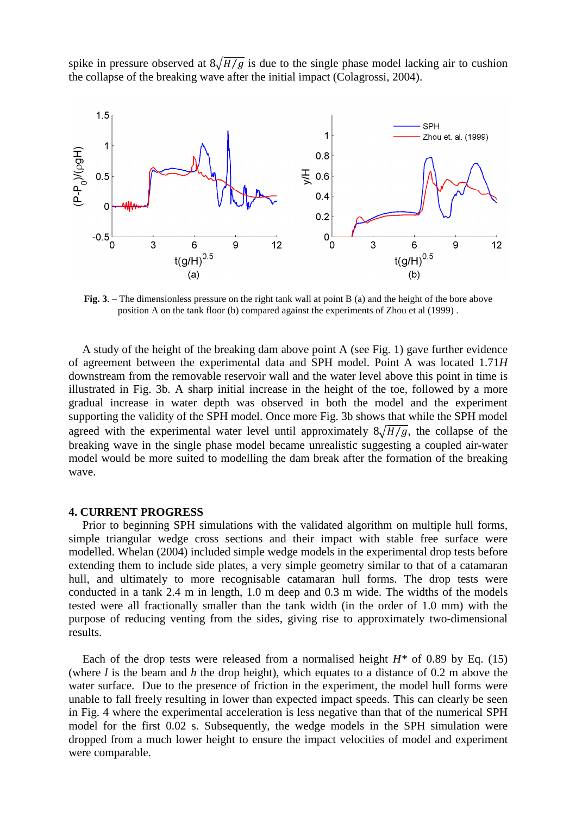spike in pressure observed at  $8\sqrt{H/g}$  is due to the single phase model lacking air to cushion the collapse of the breaking wave after the initial impact (Colagrossi, 2004).



**Fig. 3**. – The dimensionless pressure on the right tank wall at point B (a) and the height of the bore above position A on the tank floor (b) compared against the experiments of Zhou et al (1999) .

A study of the height of the breaking dam above point A (see Fig. 1) gave further evidence of agreement between the experimental data and SPH model. Point A was located 1.71*H* downstream from the removable reservoir wall and the water level above this point in time is illustrated in Fig. 3b. A sharp initial increase in the height of the toe, followed by a more gradual increase in water depth was observed in both the model and the experiment supporting the validity of the SPH model. Once more Fig. 3b shows that while the SPH model agreed with the experimental water level until approximately  $8\sqrt{\frac{H}{g}}$ , the collapse of the breaking wave in the single phase model became unrealistic suggesting a coupled air-water model would be more suited to modelling the dam break after the formation of the breaking wave.

#### **4. CURRENT PROGRESS**

Prior to beginning SPH simulations with the validated algorithm on multiple hull forms, simple triangular wedge cross sections and their impact with stable free surface were modelled. Whelan (2004) included simple wedge models in the experimental drop tests before extending them to include side plates, a very simple geometry similar to that of a catamaran hull, and ultimately to more recognisable catamaran hull forms. The drop tests were conducted in a tank 2.4 m in length, 1.0 m deep and 0.3 m wide. The widths of the models tested were all fractionally smaller than the tank width (in the order of 1.0 mm) with the purpose of reducing venting from the sides, giving rise to approximately two-dimensional results.

Each of the drop tests were released from a normalised height  $H^*$  of 0.89 by Eq. (15) (where *l* is the beam and *h* the drop height), which equates to a distance of 0.2 m above the water surface. Due to the presence of friction in the experiment, the model hull forms were unable to fall freely resulting in lower than expected impact speeds. This can clearly be seen in Fig. 4 where the experimental acceleration is less negative than that of the numerical SPH model for the first 0.02 s. Subsequently, the wedge models in the SPH simulation were dropped from a much lower height to ensure the impact velocities of model and experiment were comparable.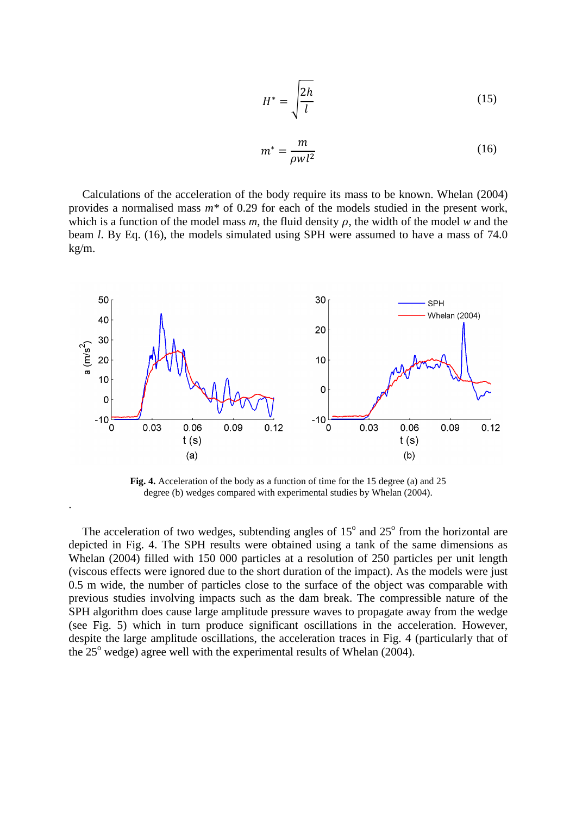$$
H^* = \sqrt{\frac{2h}{l}}\tag{15}
$$

$$
m^* = \frac{m}{\rho w l^2} \tag{16}
$$

Calculations of the acceleration of the body require its mass to be known. Whelan (2004) provides a normalised mass *m\** of 0.29 for each of the models studied in the present work, which is a function of the model mass  $m$ , the fluid density  $\rho$ , the width of the model  $w$  and the beam *l*. By Eq. (16), the models simulated using SPH were assumed to have a mass of 74.0 kg/m.



**Fig. 4.** Acceleration of the body as a function of time for the 15 degree (a) and 25 degree (b) wedges compared with experimental studies by Whelan (2004).

.

The acceleration of two wedges, subtending angles of  $15^{\circ}$  and  $25^{\circ}$  from the horizontal are depicted in Fig. 4. The SPH results were obtained using a tank of the same dimensions as Whelan (2004) filled with 150 000 particles at a resolution of 250 particles per unit length (viscous effects were ignored due to the short duration of the impact). As the models were just 0.5 m wide, the number of particles close to the surface of the object was comparable with previous studies involving impacts such as the dam break. The compressible nature of the SPH algorithm does cause large amplitude pressure waves to propagate away from the wedge (see Fig. 5) which in turn produce significant oscillations in the acceleration. However, despite the large amplitude oscillations, the acceleration traces in Fig. 4 (particularly that of the  $25^{\circ}$  wedge) agree well with the experimental results of Whelan (2004).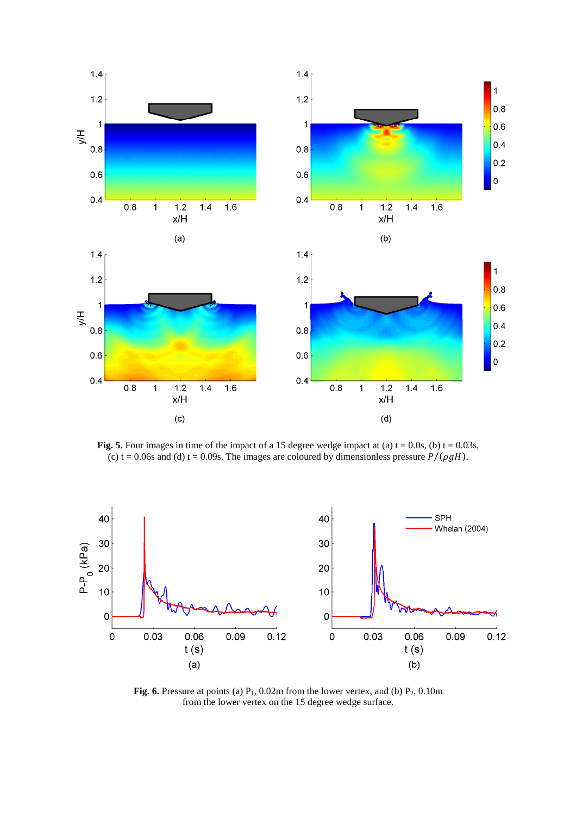

**Fig. 5.** Four images in time of the impact of a 15 degree wedge impact at (a)  $t = 0.0s$ , (b)  $t = 0.03s$ , (c) t = 0.06s and (d) t = 0.09s. The images are coloured by dimensionless pressure  $P/(\rho g H)$ .



**Fig. 6.** Pressure at points (a)  $P_1$ , 0.02m from the lower vertex, and (b)  $P_2$ , 0.10m from the lower vertex on the 15 degree wedge surface.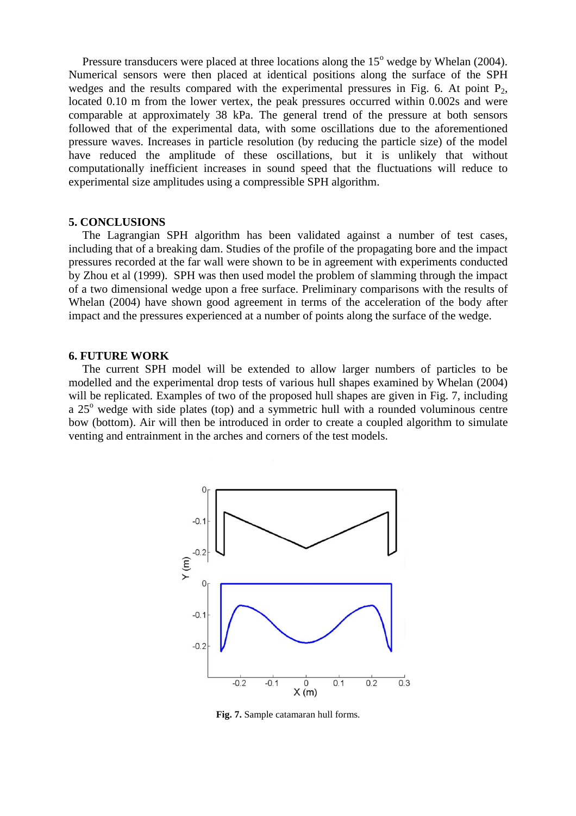Pressure transducers were placed at three locations along the  $15^{\circ}$  wedge by Whelan (2004). Numerical sensors were then placed at identical positions along the surface of the SPH wedges and the results compared with the experimental pressures in Fig. 6. At point  $P_2$ , located 0.10 m from the lower vertex, the peak pressures occurred within 0.002s and were comparable at approximately 38 kPa. The general trend of the pressure at both sensors followed that of the experimental data, with some oscillations due to the aforementioned pressure waves. Increases in particle resolution (by reducing the particle size) of the model have reduced the amplitude of these oscillations, but it is unlikely that without computationally inefficient increases in sound speed that the fluctuations will reduce to experimental size amplitudes using a compressible SPH algorithm.

# **5. CONCLUSIONS**

The Lagrangian SPH algorithm has been validated against a number of test cases, including that of a breaking dam. Studies of the profile of the propagating bore and the impact pressures recorded at the far wall were shown to be in agreement with experiments conducted by Zhou et al (1999). SPH was then used model the problem of slamming through the impact of a two dimensional wedge upon a free surface. Preliminary comparisons with the results of Whelan (2004) have shown good agreement in terms of the acceleration of the body after impact and the pressures experienced at a number of points along the surface of the wedge.

## **6. FUTURE WORK**

The current SPH model will be extended to allow larger numbers of particles to be modelled and the experimental drop tests of various hull shapes examined by Whelan (2004) will be replicated. Examples of two of the proposed hull shapes are given in Fig. 7, including a 25<sup>°</sup> wedge with side plates (top) and a symmetric hull with a rounded voluminous centre bow (bottom). Air will then be introduced in order to create a coupled algorithm to simulate venting and entrainment in the arches and corners of the test models.



**Fig. 7.** Sample catamaran hull forms.